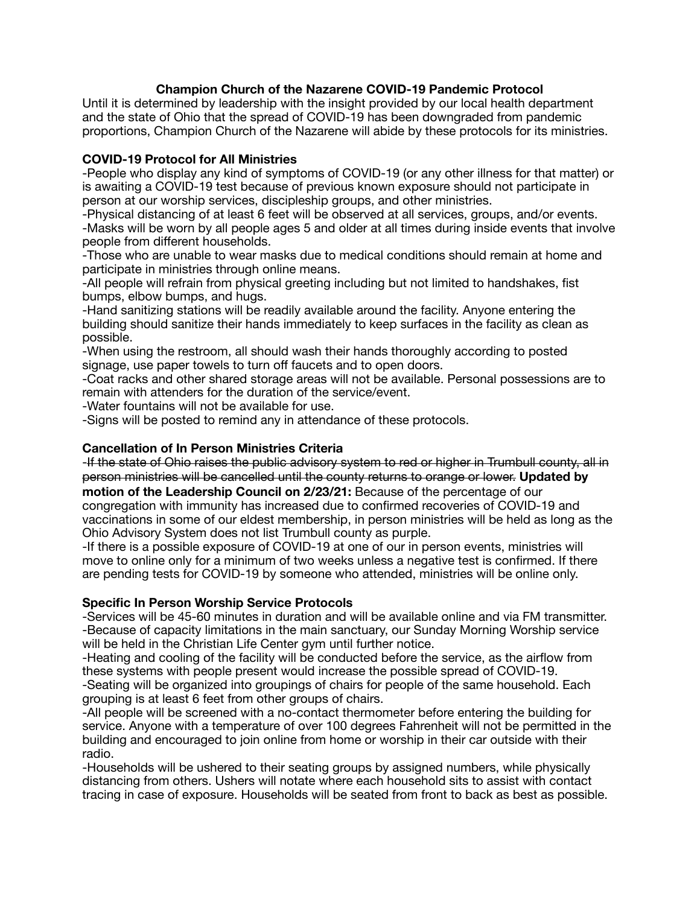# **Champion Church of the Nazarene COVID-19 Pandemic Protocol**

Until it is determined by leadership with the insight provided by our local health department and the state of Ohio that the spread of COVID-19 has been downgraded from pandemic proportions, Champion Church of the Nazarene will abide by these protocols for its ministries.

### **COVID-19 Protocol for All Ministries**

-People who display any kind of symptoms of COVID-19 (or any other illness for that matter) or is awaiting a COVID-19 test because of previous known exposure should not participate in person at our worship services, discipleship groups, and other ministries.

-Physical distancing of at least 6 feet will be observed at all services, groups, and/or events. -Masks will be worn by all people ages 5 and older at all times during inside events that involve people from different households.

-Those who are unable to wear masks due to medical conditions should remain at home and participate in ministries through online means.

-All people will refrain from physical greeting including but not limited to handshakes, fist bumps, elbow bumps, and hugs.

-Hand sanitizing stations will be readily available around the facility. Anyone entering the building should sanitize their hands immediately to keep surfaces in the facility as clean as possible.

-When using the restroom, all should wash their hands thoroughly according to posted signage, use paper towels to turn off faucets and to open doors.

-Coat racks and other shared storage areas will not be available. Personal possessions are to remain with attenders for the duration of the service/event.

-Water fountains will not be available for use.

-Signs will be posted to remind any in attendance of these protocols.

## **Cancellation of In Person Ministries Criteria**

-If the state of Ohio raises the public advisory system to red or higher in Trumbull county, all in person ministries will be cancelled until the county returns to orange or lower. **Updated by motion of the Leadership Council on 2/23/21:** Because of the percentage of our congregation with immunity has increased due to confirmed recoveries of COVID-19 and vaccinations in some of our eldest membership, in person ministries will be held as long as the Ohio Advisory System does not list Trumbull county as purple.

-If there is a possible exposure of COVID-19 at one of our in person events, ministries will move to online only for a minimum of two weeks unless a negative test is confirmed. If there are pending tests for COVID-19 by someone who attended, ministries will be online only.

#### **Specific In Person Worship Service Protocols**

-Services will be 45-60 minutes in duration and will be available online and via FM transmitter. -Because of capacity limitations in the main sanctuary, our Sunday Morning Worship service will be held in the Christian Life Center gym until further notice.

-Heating and cooling of the facility will be conducted before the service, as the airflow from these systems with people present would increase the possible spread of COVID-19. -Seating will be organized into groupings of chairs for people of the same household. Each grouping is at least 6 feet from other groups of chairs.

-All people will be screened with a no-contact thermometer before entering the building for service. Anyone with a temperature of over 100 degrees Fahrenheit will not be permitted in the building and encouraged to join online from home or worship in their car outside with their radio.

-Households will be ushered to their seating groups by assigned numbers, while physically distancing from others. Ushers will notate where each household sits to assist with contact tracing in case of exposure. Households will be seated from front to back as best as possible.